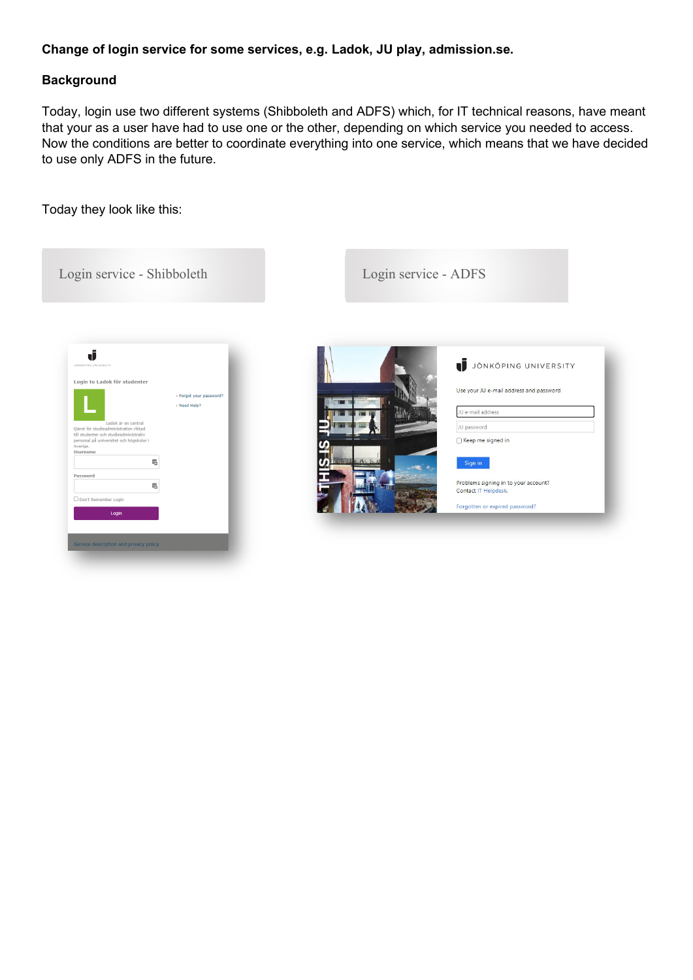## **Change of login service for some services, e.g. Ladok, JU play, admission.se.**

## **Background**

Today, login use two different systems (Shibboleth and ADFS) which, for IT technical reasons, have meant that your as a user have had to use one or the other, depending on which service you needed to access. Now the conditions are better to coordinate everything into one service, which means that we have decided to use only ADFS in the future.

Today they look like this:

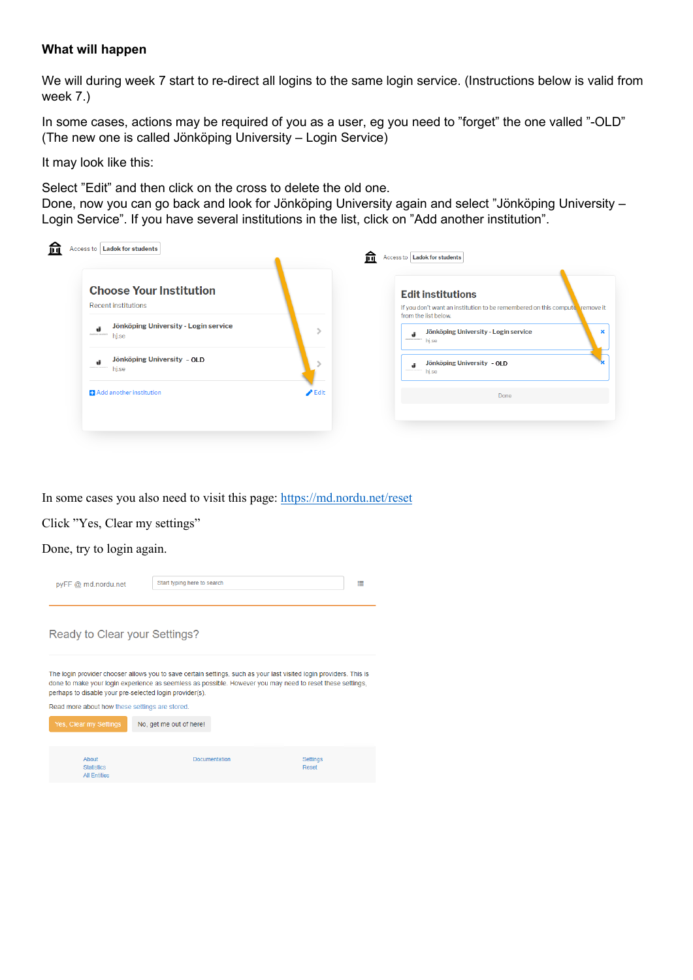## **What will happen**

We will during week 7 start to re-direct all logins to the same login service. (Instructions below is valid from week 7.)

In some cases, actions may be required of you as a user, eg you need to "forget" the one valled "-OLD" (The new one is called Jönköping University – Login Service)

It may look like this:

Select "Edit" and then click on the cross to delete the old one.

Done, now you can go back and look for Jönköping University again and select "Jönköping University – Login Service". If you have several institutions in the list, click on "Add another institution".

| <b>Choose Your Institution</b>                                          |                            | <b>Edit institutions</b>                                                                            |
|-------------------------------------------------------------------------|----------------------------|-----------------------------------------------------------------------------------------------------|
| <b>Recent institutions</b>                                              |                            | If you don't want an institution to be remembered on this compute remove it<br>from the list below. |
| Jönköping University - Login service<br>ú<br>dealers construit<br>hj.se |                            | Jönköping University - Login service<br>death at centaurs<br>hj.se                                  |
| Jönköping University - OLD<br>đ<br>Charles and com-<br>hj.se            |                            | Jönköping University - OLD<br>hj.se                                                                 |
| <b>Add another institution</b>                                          | $\blacktriangleright$ Edit | Done                                                                                                |

In some cases you also need to visit this page:<https://md.nordu.net/reset>

Click "Yes, Clear my settings"

Done, try to login again.

| pyFF@ md.nordu.net                                                                                                                                                                                                                                                                                                                           | Start typing here to search |                      | ≣                        |  |
|----------------------------------------------------------------------------------------------------------------------------------------------------------------------------------------------------------------------------------------------------------------------------------------------------------------------------------------------|-----------------------------|----------------------|--------------------------|--|
| Ready to Clear your Settings?                                                                                                                                                                                                                                                                                                                |                             |                      |                          |  |
| The login provider chooser allows you to save certain settings, such as your last visited login providers. This is<br>done to make your login experience as seemless as possible. However you may need to reset these settings,<br>perhaps to disable your pre-selected login provider(s).<br>Read more about how these settings are stored. |                             |                      |                          |  |
| Yes, Clear my Settings                                                                                                                                                                                                                                                                                                                       | No, get me out of here!     |                      |                          |  |
| About<br><b>Statistics</b><br><b>All Fntities</b>                                                                                                                                                                                                                                                                                            |                             | <b>Documentation</b> | <b>Settings</b><br>Reset |  |